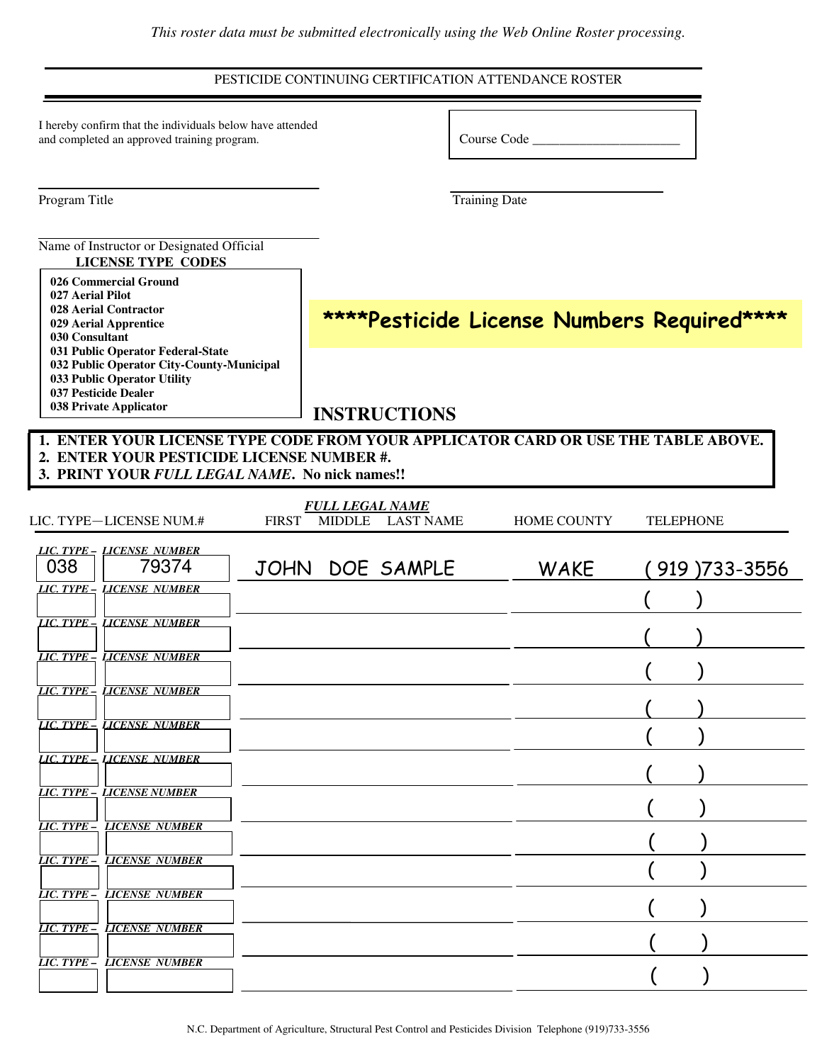#### PESTICIDE CONTINUING CERTIFICATION ATTENDANCE ROSTER

| I hereby confirm that the individuals below have attended |  |
|-----------------------------------------------------------|--|
| and completed an approved training program.               |  |

Course Code \_\_\_\_\_\_\_\_\_\_\_\_\_\_\_\_\_\_\_\_\_\_

Program Title Training Date

#### Name of Instructor or Designated Official **LICENSE TYPE CODES**

 **Commercial Ground Aerial Pilot Aerial Contractor Aerial Apprentice Consultant Public Operator Federal-State Public Operator City-County-Municipal Public Operator Utility Pesticide Dealer Private Applicator**

\*\*\*\*Pesticide License Numbers Required\*\*\*\*

## **INSTRUCTIONS**

**1. ENTER YOUR LICENSE TYPE CODE FROM YOUR APPLICATOR CARD OR USE THE TABLE ABOVE. 2. ENTER YOUR PESTICIDE LICENSE NUMBER #.**

|  |  | 3. PRINT YOUR FULL LEGAL NAME. No nick names!! |  |  |
|--|--|------------------------------------------------|--|--|
|  |  |                                                |  |  |

| LIC. TYPE-LICENSE NUM.#           | <b>FULL LEGAL NAME</b><br>MIDDLE LAST NAME<br><b>FIRST</b> | <b>HOME COUNTY</b> | <b>TELEPHONE</b> |
|-----------------------------------|------------------------------------------------------------|--------------------|------------------|
| LIC. TYPE - LICENSE NUMBER        |                                                            |                    |                  |
| 038<br>79374                      | JOHN DOE SAMPLE                                            | WAKE               | (919) 733-3556   |
| LIC. TYPE - LICENSE NUMBER        |                                                            |                    |                  |
| LIC. TYPE - LICENSE NUMBER        |                                                            |                    |                  |
| <b>LIC. TYPE - LICENSE NUMBER</b> |                                                            |                    |                  |
| <b>LIC. TYPE - LICENSE NUMBER</b> |                                                            |                    |                  |
| <b>LIC. TYPE - LICENSE NUMBER</b> |                                                            |                    |                  |
| <b>LIC. TYPE - LICENSE NUMBER</b> |                                                            |                    |                  |
| <b>LIC. TYPE - LICENSE NUMBER</b> |                                                            |                    |                  |
| <b>LIC. TYPE - LICENSE NUMBER</b> |                                                            |                    |                  |
| <b>LIC. TYPE - LICENSE NUMBER</b> |                                                            |                    |                  |
| <b>LIC. TYPE - LICENSE NUMBER</b> |                                                            |                    |                  |
| <b>LIC. TYPE - LICENSE NUMBER</b> |                                                            |                    |                  |
| <b>LIC. TYPE - LICENSE NUMBER</b> |                                                            |                    |                  |
|                                   |                                                            |                    |                  |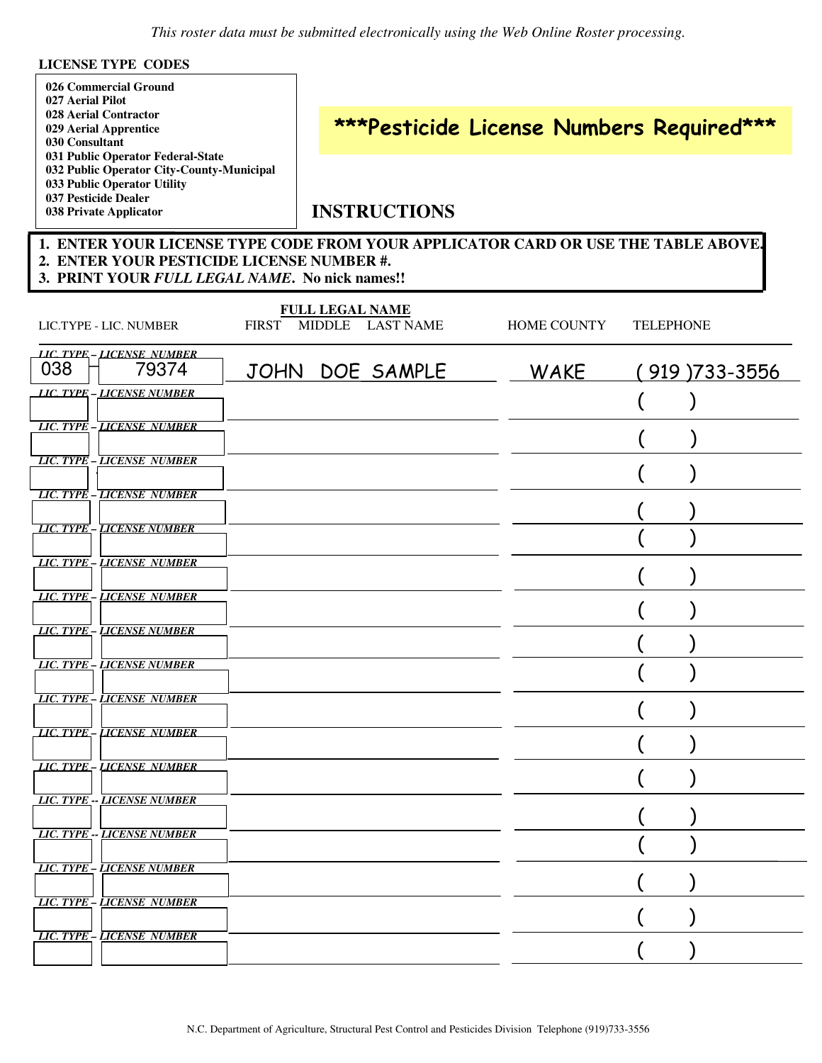#### **LICENSE TYPE CODES**

| 026 Commercial Ground                     |
|-------------------------------------------|
| 027 Aerial Pilot                          |
| 028 Aerial Contractor                     |
| 029 Aerial Apprentice                     |
| 030 Consultant                            |
| 031 Public Operator Federal-State         |
| 032 Public Operator City-County-Municipal |
| 033 Public Operator Utility               |
| 037 Pesticide Dealer                      |
| 038 Private Applicator                    |

# \*\*\*Pesticide License Numbers Required\*\*\*

## **INSTRUCTIONS**

#### **1. ENTER YOUR LICENSE TYPE CODE FROM YOUR APPLICATOR CARD OR USE THE TABLE ABOVE. 2. ENTER YOUR PESTICIDE LICENSE NUMBER #. 3. PRINT YOUR** *FULL LEGAL NAME***. No nick names!!**

| LIC.TYPE - LIC. NUMBER                     | <b>FULL LEGAL NAME</b><br>FIRST MIDDLE<br>LAST NAME | <b>HOME COUNTY</b> | <b>TELEPHONE</b>  |
|--------------------------------------------|-----------------------------------------------------|--------------------|-------------------|
| LIC. TYPE - LICENSE NUMBER<br>038<br>79374 | JOHN DOE SAMPLE                                     | WAKE               | $(919)733 - 3556$ |
| LIC. TYPE - LICENSE NUMBER                 |                                                     |                    |                   |
| <b>LIC. TYPE - LICENSE NUMBER</b>          |                                                     |                    |                   |
| <b>LIC. TYPE - LICENSE NUMBER</b>          |                                                     |                    |                   |
| <b>LIC. TYPE - LICENSE NUMBER</b>          |                                                     |                    |                   |
| <b>LIC. TYPE - LICENSE NUMBER</b>          |                                                     |                    |                   |
| LIC. TYPE - LICENSE NUMBER                 |                                                     |                    |                   |
| <b>LIC. TYPE - LICENSE NUMBER</b>          |                                                     |                    |                   |
| <b>LIC. TYPE - LICENSE NUMBER</b>          |                                                     |                    |                   |
| <b>LIC. TYPE - LICENSE NUMBER</b>          |                                                     |                    |                   |
| <b>LIC. TYPE - LICENSE NUMBER</b>          |                                                     |                    |                   |
| <b>LIC. TYPE - LICENSE NUMBER</b>          |                                                     |                    |                   |
| LIC. TYPE - LICENSE NUMBER                 |                                                     |                    |                   |
| <b>LIC. TYPE -- LICENSE NUMBER</b>         |                                                     |                    |                   |
| LIC. TYPE -- LICENSE NUMBER                |                                                     |                    |                   |
| <b>LIC. TYPE - LICENSE NUMBER</b>          |                                                     |                    |                   |
| <b>LIC. TYPE - LICENSE NUMBER</b>          |                                                     |                    |                   |
| <b>LIC. TYPE - LICENSE NUMBER</b>          |                                                     |                    |                   |